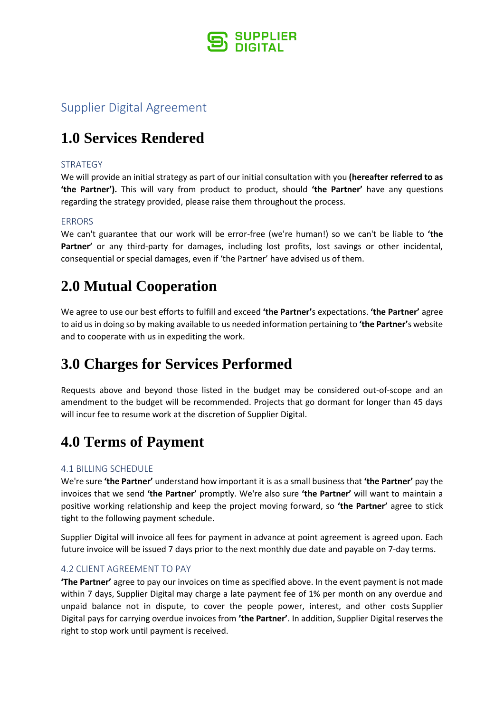

### Supplier Digital Agreement

# **1.0 Services Rendered**

### **STRATEGY**

We will provide an initial strategy as part of our initial consultation with you **(hereafter referred to as 'the Partner').** This will vary from product to product, should **'the Partner'** have any questions regarding the strategy provided, please raise them throughout the process.

### **ERRORS**

We can't guarantee that our work will be error-free (we're human!) so we can't be liable to **'the**  Partner' or any third-party for damages, including lost profits, lost savings or other incidental, consequential or special damages, even if 'the Partner' have advised us of them.

### **2.0 Mutual Cooperation**

We agree to use our best efforts to fulfill and exceed **'the Partner'**s expectations. **'the Partner'** agree to aid us in doing so by making available to us needed information pertaining to **'the Partner'**s website and to cooperate with us in expediting the work.

# **3.0 Charges for Services Performed**

Requests above and beyond those listed in the budget may be considered out-of-scope and an amendment to the budget will be recommended. Projects that go dormant for longer than 45 days will incur fee to resume work at the discretion of Supplier Digital.

# **4.0 Terms of Payment**

#### 4.1 BILLING SCHEDULE

We're sure **'the Partner'** understand how important it is as a small business that **'the Partner'** pay the invoices that we send **'the Partner'** promptly. We're also sure **'the Partner'** will want to maintain a positive working relationship and keep the project moving forward, so **'the Partner'** agree to stick tight to the following payment schedule.

Supplier Digital will invoice all fees for payment in advance at point agreement is agreed upon. Each future invoice will be issued 7 days prior to the next monthly due date and payable on 7-day terms.

#### 4.2 CLIENT AGREEMENT TO PAY

**'The Partner'** agree to pay our invoices on time as specified above. In the event payment is not made within 7 days, Supplier Digital may charge a late payment fee of 1% per month on any overdue and unpaid balance not in dispute, to cover the people power, interest, and other costs Supplier Digital pays for carrying overdue invoices from **'the Partner'**. In addition, Supplier Digital reserves the right to stop work until payment is received.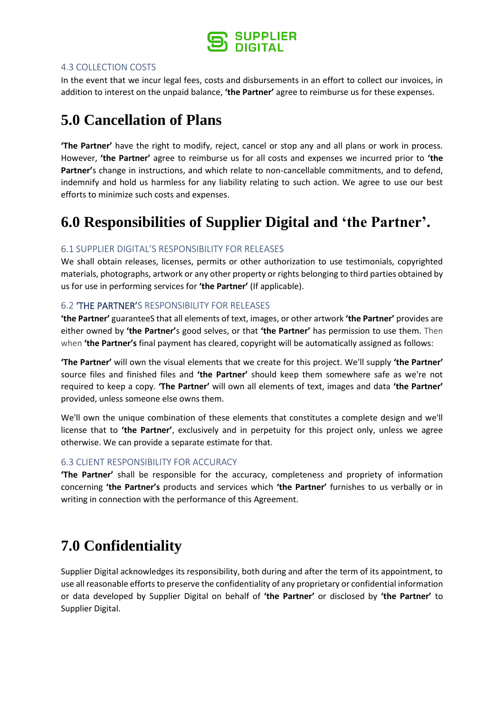

#### 4.3 COLLECTION COSTS

In the event that we incur legal fees, costs and disbursements in an effort to collect our invoices, in addition to interest on the unpaid balance, **'the Partner'** agree to reimburse us for these expenses.

# **5.0 Cancellation of Plans**

**'The Partner'** have the right to modify, reject, cancel or stop any and all plans or work in process. However, **'the Partner'** agree to reimburse us for all costs and expenses we incurred prior to **'the Partner'**s change in instructions, and which relate to non-cancellable commitments, and to defend, indemnify and hold us harmless for any liability relating to such action. We agree to use our best efforts to minimize such costs and expenses.

# **6.0 Responsibilities of Supplier Digital and 'the Partner'.**

### 6.1 SUPPLIER DIGITAL'S RESPONSIBILITY FOR RELEASES

We shall obtain releases, licenses, permits or other authorization to use testimonials, copyrighted materials, photographs, artwork or any other property or rights belonging to third parties obtained by us for use in performing services for **'the Partner'** (If applicable).

### 6.2 'THE PARTNER'S RESPONSIBILITY FOR RELEASES

**'the Partner'** guaranteeS that all elements of text, images, or other artwork **'the Partner'** provides are either owned by **'the Partner'**s good selves, or that **'the Partner'** has permission to use them. Then when **'the Partner's** final payment has cleared, copyright will be automatically assigned as follows:

**'The Partner'** will own the visual elements that we create for this project. We'll supply **'the Partner'** source files and finished files and **'the Partner'** should keep them somewhere safe as we're not required to keep a copy. **'The Partner'** will own all elements of text, images and data **'the Partner'** provided, unless someone else owns them.

We'll own the unique combination of these elements that constitutes a complete design and we'll license that to **'the Partner'**, exclusively and in perpetuity for this project only, unless we agree otherwise. We can provide a separate estimate for that.

#### 6.3 CLIENT RESPONSIBILITY FOR ACCURACY

**'The Partner'** shall be responsible for the accuracy, completeness and propriety of information concerning **'the Partner's** products and services which **'the Partner'** furnishes to us verbally or in writing in connection with the performance of this Agreement.

# **7.0 Confidentiality**

Supplier Digital acknowledges its responsibility, both during and after the term of its appointment, to use all reasonable efforts to preserve the confidentiality of any proprietary or confidential information or data developed by Supplier Digital on behalf of **'the Partner'** or disclosed by **'the Partner'** to Supplier Digital.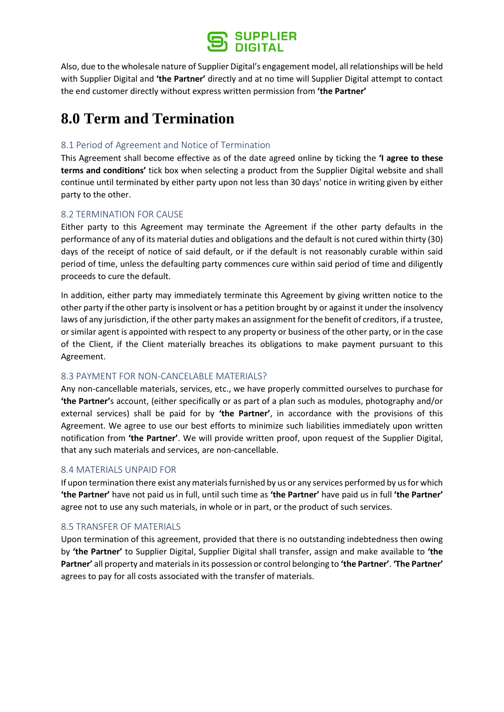

Also, due to the wholesale nature of Supplier Digital's engagement model, all relationships will be held with Supplier Digital and **'the Partner'** directly and at no time will Supplier Digital attempt to contact the end customer directly without express written permission from **'the Partner'**

# **8.0 Term and Termination**

### 8.1 Period of Agreement and Notice of Termination

This Agreement shall become effective as of the date agreed online by ticking the **'I agree to these terms and conditions'** tick box when selecting a product from the Supplier Digital website and shall continue until terminated by either party upon not less than 30 days' notice in writing given by either party to the other.

### 8.2 TERMINATION FOR CAUSE

Either party to this Agreement may terminate the Agreement if the other party defaults in the performance of any of its material duties and obligations and the default is not cured within thirty (30) days of the receipt of notice of said default, or if the default is not reasonably curable within said period of time, unless the defaulting party commences cure within said period of time and diligently proceeds to cure the default.

In addition, either party may immediately terminate this Agreement by giving written notice to the other party if the other party is insolvent or has a petition brought by or against it under the insolvency laws of any jurisdiction, if the other party makes an assignment for the benefit of creditors, if a trustee, or similar agent is appointed with respect to any property or business of the other party, or in the case of the Client, if the Client materially breaches its obligations to make payment pursuant to this Agreement.

#### 8.3 PAYMENT FOR NON-CANCELABLE MATERIALS?

Any non-cancellable materials, services, etc., we have properly committed ourselves to purchase for **'the Partner'**s account, (either specifically or as part of a plan such as modules, photography and/or external services) shall be paid for by **'the Partner'**, in accordance with the provisions of this Agreement. We agree to use our best efforts to minimize such liabilities immediately upon written notification from **'the Partner'**. We will provide written proof, upon request of the Supplier Digital, that any such materials and services, are non-cancellable.

#### 8.4 MATERIALS UNPAID FOR

If upon termination there exist any materials furnished by us or any services performed by us for which **'the Partner'** have not paid us in full, until such time as **'the Partner'** have paid us in full **'the Partner'** agree not to use any such materials, in whole or in part, or the product of such services.

#### 8.5 TRANSFER OF MATERIALS

Upon termination of this agreement, provided that there is no outstanding indebtedness then owing by **'the Partner'** to Supplier Digital, Supplier Digital shall transfer, assign and make available to **'the Partner'** all property and materials in its possession or control belonging to **'the Partner'**. **'The Partner'** agrees to pay for all costs associated with the transfer of materials.